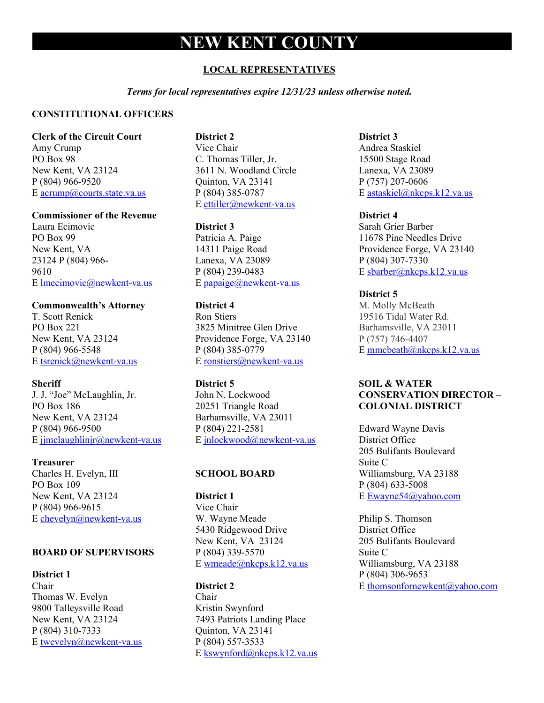# **NEW KENT COUNTY**

#### **LOCAL REPRESENTATIVES**

*Terms for local representatives expire 12/31/23 unless otherwise noted.*

#### **CONSTITUTIONAL OFFICERS**

**Clerk of the Circuit Court**

Amy Crump PO Box 98 New Kent, VA 23124 P (804) 966-9520 E [acrump@courts.state.va.us](mailto:acrump@courts.state.va.us)

#### **Commissioner of the Revenue**

Laura Ecimovic PO Box 99 New Kent, VA 23124 P (804) 966- 9610 E [lmecimovic@newkent-va.us](mailto:lmecimovic@newkent-va.us)

#### **Commonwealth's Attorney**

T. Scott Renick PO Box 221 New Kent, VA 23124 P (804) 966-5548 E [tsrenick@newkent-va.us](mailto:tsrenick@newkent-va.us)

#### **Sheriff**

J. J. "Joe" McLaughlin, Jr. PO Box 186 New Kent, VA 23124 P (804) 966-9500 E [jjmclaughlinjr@newkent-va.us](mailto:jjmclaughlinjr@newkent-va.us)

#### **Treasurer**

Charles H. Evelyn, III PO Box 109 New Kent, VA 23124 P (804) 966-9615 E [chevelyn@newkent-va.us](mailto:chevelyn@newkent-va.us)

#### **BOARD OF SUPERVISORS**

**District 1** Chair Thomas W. Evelyn 9800 Talleysville Road New Kent, VA 23124 P (804) 310-7333 E [twevelyn@newkent-va.us](mailto:twevelyn@newkent-va.us)

#### **District 2**

Vice Chair C. Thomas Tiller, Jr. 3611 N. Woodland Circle Quinton, VA 23141 P (804) 385-0787 E [cttiller@newkent-va.us](mailto:cttiller@newkent-va.us)

#### **District 3**

Patricia A. Paige 14311 Paige Road Lanexa, VA 23089 P (804) 239-0483 E [papaige@newkent-va.us](mailto:papaige@newkent-va.us)

#### **District 4**

Ron Stiers 3825 Minitree Glen Drive Providence Forge, VA 23140 P (804) 385-0779 E [ronstiers@newkent-va.us](mailto:ronstiers@newkent-va.us)

#### **District 5**

John N. Lockwood 20251 Triangle Road Barhamsville, VA 23011 P (804) 221-2581 E [jnlockwood@newkent-va.us](mailto:jnlockwood@newkent-va.us)

#### **SCHOOL BOARD**

**District 1** Vice Chair W. Wayne Meade 5430 Ridgewood Drive New Kent, VA 23124 P (804) 339-5570 E [wmeade@nkcps.k12.va.us](mailto:wmeade@nkcps.k12.va.us)

#### **District 2**

Chair Kristin Swynford 7493 Patriots Landing Place Quinton, VA 23141 P (804) 557-3533 E [kswynford@nkcps.k12.va.us](mailto:kswynford@nkcps.k12.va.us)

#### **District 3**

Andrea Staskiel 15500 Stage Road Lanexa, VA 23089 P (757) 207-0606 E [astaskiel@nkcps.k12.va.us](mailto:astaskiel@nkcps.k12.va.us)

#### **District 4**

Sarah Grier Barber 11678 Pine Needles Drive Providence Forge, VA 23140 P (804) 307-7330 E [sbarber@nkcps.k12.va.us](mailto:sbarber@nkcps.k12.va.us)

#### **District 5**

M. Molly McBeath 19516 Tidal Water Rd. Barhamsville, VA 23011 P (757) 746-4407 E [mmcbeath@nkcps.k12.va.us](mailto:mmcbeath@nkcps.k12.va.us)

#### **SOIL & WATER CONSERVATION DIRECTOR – COLONIAL DISTRICT**

Edward Wayne Davis District Office 205 Bulifants Boulevard Suite C Williamsburg, VA 23188 P (804) 633-5008 E [Ewayne54@yahoo.com](mailto:Ewayne54@yahoo.com)

Philip S. Thomson District Office 205 Bulifants Boulevard Suite C Williamsburg, VA 23188 P (804) 306-9653 E [thomsonfornewkent@yahoo.com](mailto:thomsonfornewkent@yahoo.com)